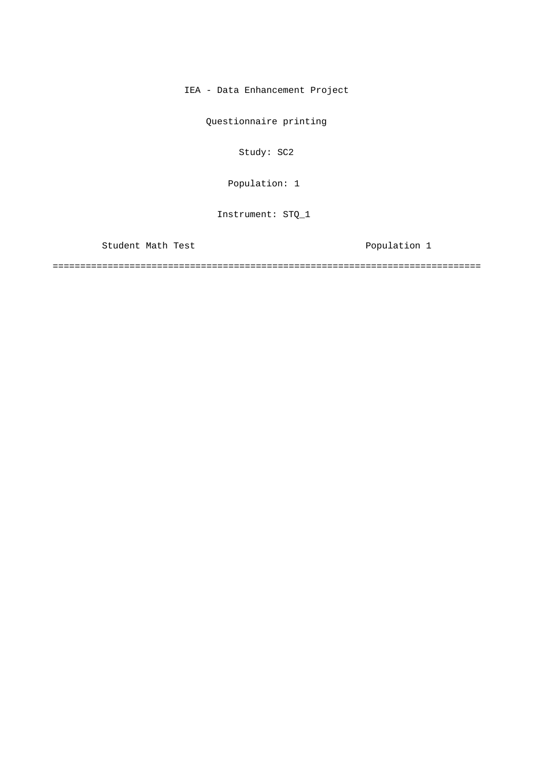IEA - Data Enhancement Project

Questionnaire printing

Study: SC2

Population: 1

Instrument: STQ\_1

Student Math Test **Population** 1

==============================================================================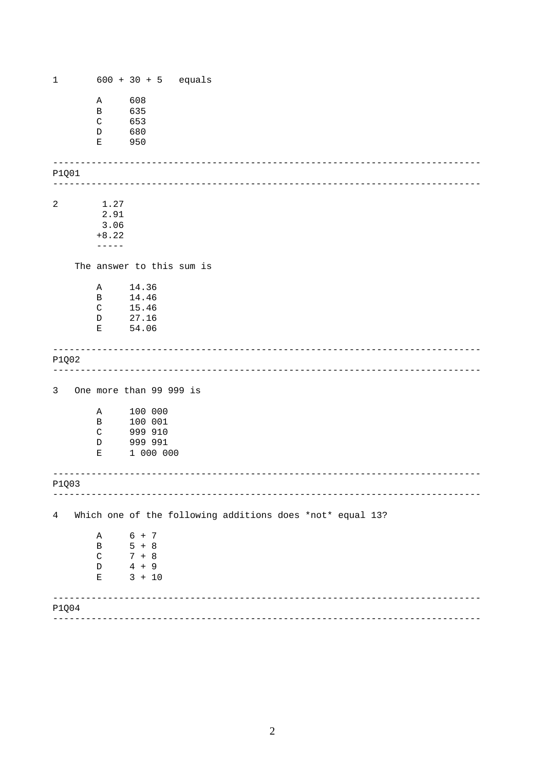<span id="page-1-0"></span>

| $\mathbf 1$ |                  | $600 + 30 + 5$ equals     |                                                           |
|-------------|------------------|---------------------------|-----------------------------------------------------------|
|             | Α                | 608                       |                                                           |
|             | B                | 635                       |                                                           |
|             | $\mathsf C$      | 653                       |                                                           |
|             | D                | 680                       |                                                           |
|             | Ε                | 950                       |                                                           |
|             |                  |                           |                                                           |
| P1Q01       |                  |                           |                                                           |
|             |                  |                           | ----------                                                |
| $\sqrt{2}$  | 1.27             |                           |                                                           |
|             | 2.91             |                           |                                                           |
|             | 3.06             |                           |                                                           |
|             | $+8.22$          |                           |                                                           |
|             | $---$            |                           |                                                           |
|             |                  | The answer to this sum is |                                                           |
|             |                  |                           |                                                           |
|             | Α                | 14.36                     |                                                           |
|             | B<br>$\mathbf C$ | 14.46<br>15.46            |                                                           |
|             | D                | 27.16                     |                                                           |
|             | Е                | 54.06                     |                                                           |
|             |                  |                           |                                                           |
| P1Q02       |                  |                           |                                                           |
|             |                  |                           | <u> 22222222</u>                                          |
|             |                  |                           |                                                           |
| 3           |                  | One more than 99 999 is   |                                                           |
|             | Α                | 100 000                   |                                                           |
|             | B                | 100 001                   |                                                           |
|             | $\mathsf{C}$     | 999 910                   |                                                           |
|             | $\mathbb D$<br>Е | 999 991<br>1 000 000      |                                                           |
|             |                  |                           |                                                           |
|             |                  |                           |                                                           |
| P1003       |                  |                           |                                                           |
|             |                  |                           |                                                           |
| 4           |                  |                           | Which one of the following additions does *not* equal 13? |
|             | Α                | $6 + 7$                   |                                                           |
|             | B                | $5 + 8$                   |                                                           |
|             | $\mathsf C$      | $7 + 8$                   |                                                           |
|             | $\mathbb D$      | $4 + 9$                   |                                                           |
|             | Ε                | $3 + 10$                  |                                                           |
|             |                  |                           |                                                           |
| P1Q04       |                  |                           |                                                           |
|             |                  |                           |                                                           |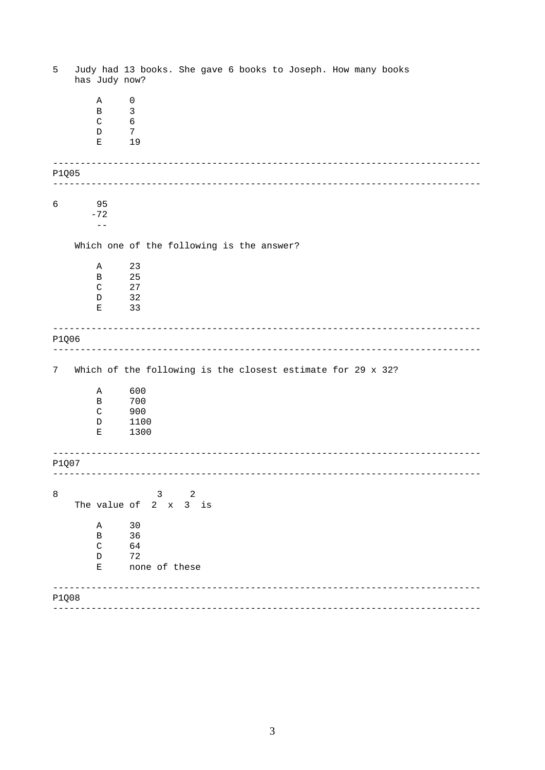<span id="page-2-0"></span>

| 5     | has Judy now?                              | Judy had 13 books. She gave 6 books to Joseph. How many books |
|-------|--------------------------------------------|---------------------------------------------------------------|
|       | Α<br>B<br>$\mathsf{C}$<br>D<br>Е           | 0<br>$\mathsf 3$<br>$\epsilon$<br>7<br>19                     |
|       |                                            |                                                               |
| P1Q05 |                                            |                                                               |
| 6     | 95<br>$-72$<br>$- -$                       |                                                               |
|       |                                            | Which one of the following is the answer?                     |
|       | Α<br>B<br>$\mathsf{C}$<br>D<br>Е           | 23<br>25<br>27<br>32<br>33                                    |
| P1Q06 |                                            |                                                               |
| 7     |                                            | Which of the following is the closest estimate for 29 x 32?   |
|       | Α<br>B<br>$\mathsf{C}$<br>$\mathbb D$<br>Е | 600<br>700<br>900<br>1100<br>1300                             |
| P1Q07 |                                            |                                                               |
| 8     | The value of                               | 2<br>3<br>$2 \times$<br>$3$ is                                |
|       | Α<br>B<br>$\mathsf{C}$<br>$\mathbb D$<br>Ε | 30<br>36<br>64<br>72<br>none of these                         |
| P1Q08 |                                            |                                                               |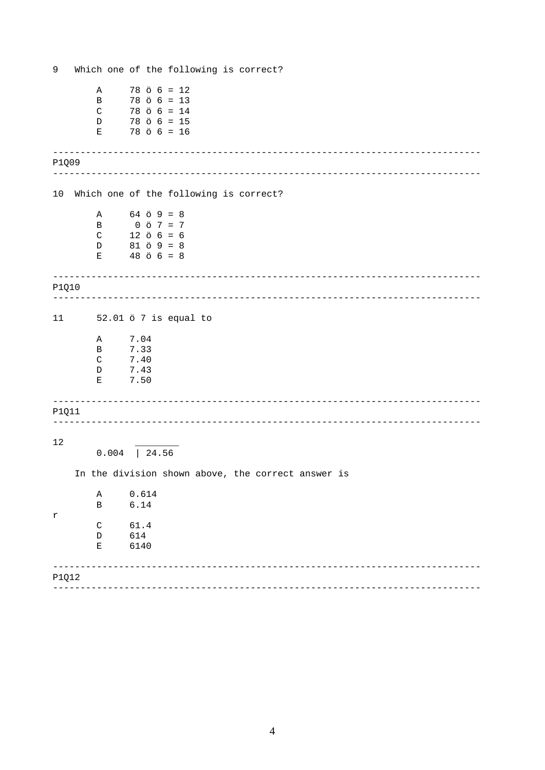<span id="page-3-0"></span>

| 9     |                   |                 |       |                                              |                                           |  | Which one of the following is correct?             |
|-------|-------------------|-----------------|-------|----------------------------------------------|-------------------------------------------|--|----------------------------------------------------|
|       | Α                 |                 |       |                                              | $78$ ö $6 = 12$                           |  |                                                    |
|       | B                 |                 |       |                                              | $78$ $\ddot{o}$ 6 = 13                    |  |                                                    |
|       | $\mathsf{C}$<br>D |                 |       |                                              | $78$ ö $6 = 14$<br>$78$ $\ddot{o}$ 6 = 15 |  |                                                    |
|       | Ε                 |                 |       |                                              | $78$ $\ddot{o}$ 6 = 16                    |  |                                                    |
| P1Q09 |                   |                 |       |                                              |                                           |  |                                                    |
|       |                   |                 |       |                                              |                                           |  |                                                    |
| 10    |                   |                 |       |                                              |                                           |  | Which one of the following is correct?             |
|       | Α                 |                 |       | $64$ $\ddot{o}$ $9 = 8$                      |                                           |  |                                                    |
|       | B<br>$\mathsf{C}$ |                 |       | $0 \t{5} \t{7} = 7$<br>$12$ $\ddot{o}$ 6 = 6 |                                           |  |                                                    |
|       | D                 |                 |       | $81 \t{0} \t{9} = 8$                         |                                           |  |                                                    |
|       | Е                 |                 |       | $48 \t{o} 6 = 8$                             |                                           |  |                                                    |
| P1Q10 |                   |                 |       |                                              |                                           |  | _______________________                            |
|       |                   |                 |       |                                              |                                           |  |                                                    |
| 11    |                   |                 |       |                                              | 52.01 ö 7 is equal to                     |  |                                                    |
|       | Α                 |                 | 7.04  |                                              |                                           |  |                                                    |
|       | В                 | 7.33<br>7.40    |       |                                              |                                           |  |                                                    |
|       | C<br>D            | 7.43            |       |                                              |                                           |  |                                                    |
|       | Е                 |                 | 7.50  |                                              |                                           |  |                                                    |
| P1Q11 |                   |                 |       |                                              |                                           |  |                                                    |
|       |                   |                 |       |                                              |                                           |  |                                                    |
| 12    |                   |                 |       |                                              |                                           |  |                                                    |
|       |                   | $0.004$   24.56 |       |                                              |                                           |  |                                                    |
|       |                   |                 |       |                                              |                                           |  | In the division shown above, the correct answer is |
|       | Α                 |                 | 0.614 |                                              |                                           |  |                                                    |
|       | $\, {\bf B}$      |                 | 6.14  |                                              |                                           |  |                                                    |
| r     | C                 |                 | 61.4  |                                              |                                           |  |                                                    |
|       | $\mathbb D$       |                 | 614   |                                              |                                           |  |                                                    |
|       | Ε                 |                 | 6140  |                                              |                                           |  |                                                    |
| P1Q12 |                   |                 |       |                                              |                                           |  |                                                    |
|       |                   |                 |       |                                              |                                           |  |                                                    |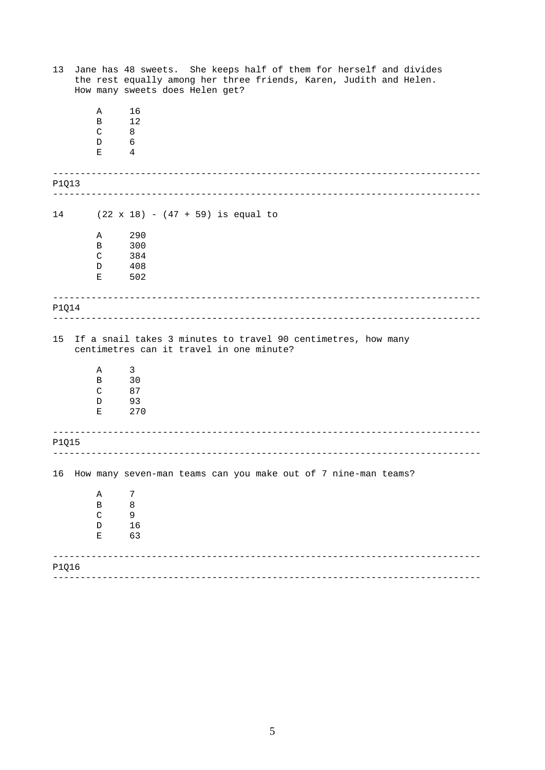| 13    |              | Jane has 48 sweets. She keeps half of them for herself and divides<br>the rest equally among her three friends, Karen, Judith and Helen.<br>How many sweets does Helen get? |
|-------|--------------|-----------------------------------------------------------------------------------------------------------------------------------------------------------------------------|
|       | Α            | 16                                                                                                                                                                          |
|       | B            | 12                                                                                                                                                                          |
|       | $\mathsf{C}$ | 8                                                                                                                                                                           |
|       | D<br>Е       | 6<br>4                                                                                                                                                                      |
|       |              |                                                                                                                                                                             |
| P1Q13 |              |                                                                                                                                                                             |
|       |              |                                                                                                                                                                             |
| 14    |              | $(22 \times 18) - (47 + 59)$ is equal to                                                                                                                                    |
|       | Α            | 290                                                                                                                                                                         |
|       | В            | 300                                                                                                                                                                         |
|       | C            | 384                                                                                                                                                                         |
|       | D            | 408<br>502                                                                                                                                                                  |
|       | Е            |                                                                                                                                                                             |
|       |              |                                                                                                                                                                             |
| P1Q14 |              |                                                                                                                                                                             |
| 15    | Α            | If a snail takes 3 minutes to travel 90 centimetres, how many<br>centimetres can it travel in one minute?<br>3                                                              |
|       | Β            | 30                                                                                                                                                                          |
|       | $\mathsf{C}$ | 87                                                                                                                                                                          |
|       | D            | 93                                                                                                                                                                          |
|       | Е            | 270                                                                                                                                                                         |
|       |              |                                                                                                                                                                             |
| P1Q15 |              |                                                                                                                                                                             |
|       |              |                                                                                                                                                                             |
|       |              | 16 How many seven-man teams can you make out of 7 nine-man teams?                                                                                                           |
|       | A            | 7                                                                                                                                                                           |
|       | $\, {\bf B}$ | $\,8\,$                                                                                                                                                                     |
|       | $\mathsf C$  | $\mathsf 9$                                                                                                                                                                 |
|       | $\mathbb D$  | 16                                                                                                                                                                          |
|       | $\mathbf E$  | 63                                                                                                                                                                          |
|       |              |                                                                                                                                                                             |
| P1Q16 |              |                                                                                                                                                                             |
|       |              |                                                                                                                                                                             |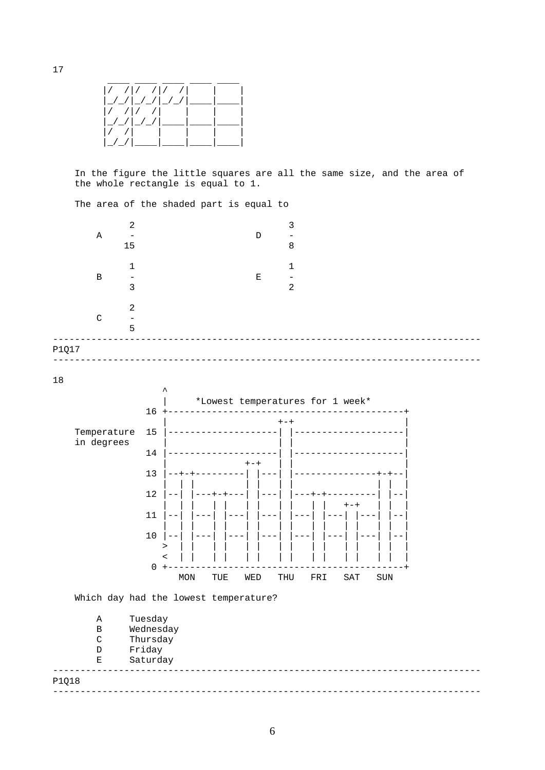<span id="page-5-0"></span>

In the figure the little squares are all the same size, and the area of the whole rectangle is equal to 1.

The area of the shaded part is equal to